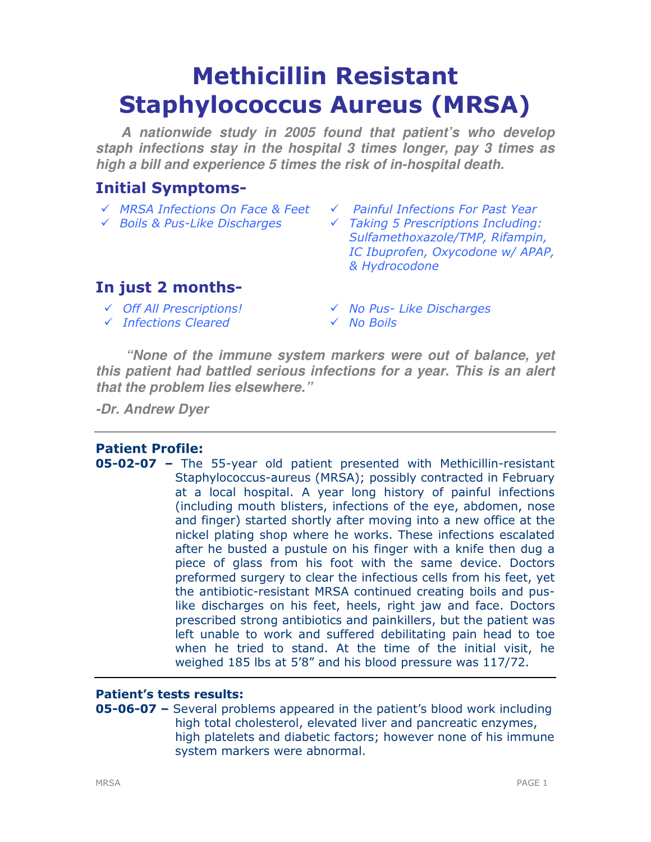# Methicillin Resistant Staphylococcus Aureus (MRSA)

**A nationwide study in 2005 found that patient's who develop staph infections stay in the hospital 3 times longer, pay 3 times as high a bill and experience 5 times the risk of in-hospital death.**

## Initial Symptoms-

- $\checkmark$  MRSA Infections On Face & Feet  $\checkmark$  Painful Infections For Past Year
- 
- 
- $\checkmark$  Boils & Pus-Like Discharges  $\checkmark$  Taking 5 Prescriptions Including: Sulfamethoxazole/TMP, Rifampin, IC Ibuprofen, Oxycodone w/ APAP, & Hydrocodone

# In just 2 months-

- $\checkmark$  Infections Cleared  $\checkmark$  No Boils
- Off All Prescriptions! No Pus- Like Discharges
	-

**"None of the immune system markers were out of balance, yet this patient had battled serious infections for a year. This is an alert that the problem lies elsewhere."** 

**-Dr. Andrew Dyer** 

## Patient Profile:

05-02-07 – The 55-year old patient presented with Methicillin-resistant Staphylococcus-aureus (MRSA); possibly contracted in February at a local hospital. A year long history of painful infections (including mouth blisters, infections of the eye, abdomen, nose and finger) started shortly after moving into a new office at the nickel plating shop where he works. These infections escalated after he busted a pustule on his finger with a knife then dug a piece of glass from his foot with the same device. Doctors preformed surgery to clear the infectious cells from his feet, yet the antibiotic-resistant MRSA continued creating boils and puslike discharges on his feet, heels, right jaw and face. Doctors prescribed strong antibiotics and painkillers, but the patient was left unable to work and suffered debilitating pain head to toe when he tried to stand. At the time of the initial visit, he weighed 185 lbs at 5'8" and his blood pressure was 117/72.

## Patient's tests results:

05-06-07 – Several problems appeared in the patient's blood work including high total cholesterol, elevated liver and pancreatic enzymes, high platelets and diabetic factors; however none of his immune system markers were abnormal.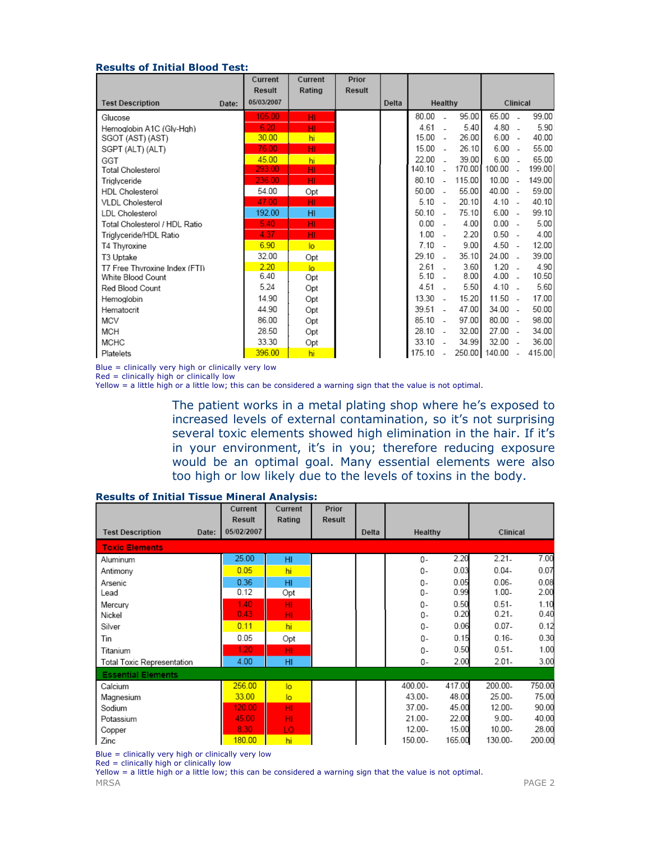#### Results of Initial Blood Test:

|                               |       | Current<br><b>Result</b> | Current<br>Rating | Prior<br>Result |       |           |        |        |                 |    |        |
|-------------------------------|-------|--------------------------|-------------------|-----------------|-------|-----------|--------|--------|-----------------|----|--------|
| <b>Test Description</b>       | Date: | 05/03/2007               |                   |                 | Delta | Healthy   |        |        | Clinical        |    |        |
| Glucose                       |       | 105.00                   | HI                |                 |       | 80.00     |        | 95.00  | 65.00           |    | 99.00  |
| Hemoglobin A1C (Gly-Hgh)      |       | 6.20                     | HI                |                 |       | 4.61      |        | 5.40   | 4.80            | ÷. | 5.90   |
| SGOT (AST) (AST)              |       | 30.00                    | hi                |                 |       | $15.00 -$ |        | 26.00  | $6.00 -$        |    | 40.00  |
| SGPT (ALT) (ALT)              |       | 76.00                    | HI                |                 |       | 15.00     | $\sim$ | 26.10  | $6.00 -$        |    | 55.00  |
| GGT                           |       | 45.00                    | hi.               |                 |       | 22.00     | ÷.     | 39.00  | $6.00 -$        |    | 65.00  |
| Total Cholesterol             |       | 293.00                   | HI.               |                 |       | 140.10 -  |        | 170.00 | 100.00 -        |    | 199.00 |
| Triglyceride                  |       | 236.00                   | HI.               |                 |       | 80.10     | $\sim$ | 115.00 | $10.00 -$       |    | 149.00 |
| <b>HDL</b> Cholesterol        |       | 54.00                    | Opt               |                 |       | $50.00 -$ |        | 55.00  | 40.00 -         |    | 59.00  |
| <b>VLDL Cholesterol</b>       |       | 47.00                    | HI                |                 |       | $5.10 -$  |        | 20.10  | $4.10 -$        |    | 40.10  |
| LDL Cholesterol               |       | 192.00                   | HI                |                 |       | 50.10     | $\sim$ | 75.10  | $6.00 -$        |    | 99.10  |
| Total Cholesterol / HDL Ratio |       | 5.40                     | HI.               |                 |       | $0.00 -$  |        | 4.00   | $0.00 -$        |    | 5.00   |
| Triglyceride/HDL Ratio        |       | 4.37                     | HI.               |                 |       | $1.00 -$  |        | 2.20   | $0.50 -$        |    | 4.00   |
| T4 Thyroxine                  |       | 6.90                     | $\overline{a}$    |                 |       | $7.10 -$  |        | 9.00   | $4.50 -$        |    | 12.00  |
| T3 Uptake                     |       | 32.00                    | Opt               |                 |       | 29.10     | $\sim$ | 35.10  | $24.00 -$       |    | 39.00  |
| T7 Free Thvroxine Index (FTI) |       | 2.20                     | $\overline{a}$    |                 |       | 2.61      | $\sim$ | 3.60   | $1.20 -$        |    | 4.90   |
| White Blood Count             |       | 6.40                     | Opt               |                 |       | $5.10 -$  |        | 8.00   | $4.00 -$        |    | 10.50  |
| Red Blood Count               |       | 5.24                     | Opt               |                 |       | 4.51      | $\sim$ | 5.50   | $4.10 -$        |    | 5.60   |
| Hemoglobin                    |       | 14.90                    | Opt               |                 |       | $13.30 -$ |        | 15.20  | $11.50 -$       |    | 17.00  |
| Hematocrit                    |       | 44.90                    | Opt               |                 |       | 39.51     | $\sim$ | 47.00  | 34.00 -         |    | 50.00  |
| MCV                           |       | 86.00                    | Opt               |                 |       | $85.10 -$ |        | 97.00  | $80.00 -$       |    | 98.00  |
| MCH                           |       | 28.50                    | Opt               |                 |       | 28.10     | - 1    | 32.00  | $27.00 -$       |    | 34.00  |
| <b>MCHC</b>                   |       | 33.30                    | Opt               |                 |       | 33.10     | ÷.     | 34.99  | $32.00 -$       |    | 36.00  |
| Platelets                     |       | 396.00                   | hi                |                 |       | 175.10    |        |        | 250.00 140.00 - |    | 415.00 |

Blue = clinically very high or clinically very low

 $Red =$  clinically high or clinically low

Yellow = a little high or a little low; this can be considered a warning sign that the value is not optimal.

The patient works in a metal plating shop where he's exposed to increased levels of external contamination, so it's not surprising several toxic elements showed high elimination in the hair. If it's in your environment, it's in you; therefore reducing exposure would be an optimal goal. Many essential elements were also too high or low likely due to the levels of toxins in the body.

|                                  | Current<br>Result | Current<br>Rating | <b>Prior</b><br>Result |       |           |        |           |        |
|----------------------------------|-------------------|-------------------|------------------------|-------|-----------|--------|-----------|--------|
| <b>Test Description</b><br>Date: | 05/02/2007        |                   |                        | Delta | Healthy   |        | Clinical  |        |
| <b>Toxic Elements</b>            |                   |                   |                        |       |           |        |           |        |
| Aluminum                         | 25.00             | H <sub>II</sub>   |                        |       | 0-        | 2.20   | $2.21 -$  | 7.00   |
| Antimony                         | 0.05              | hi                |                        |       | 0-        | 0.03   | $0.04 -$  | 0.07   |
| Arsenic                          | 0.36              | HI                |                        |       | 0-        | 0.05   | $0.06 -$  | 0.08   |
| Lead                             | 0.12              | Opt               |                        |       | 0-        | 0.99   | $1.00 -$  | 2.00   |
| Mercury                          | 1.40              | HI                |                        |       | $0 -$     | 0.50   | $0.51 -$  | 1.10   |
| Nickel                           | 0.43              | HI                |                        |       | 0-        | 0.20   | $0.21 -$  | 0.40   |
| Silver                           | 0.11              | hi                |                        |       | 0-        | 0.06   | $0.07 -$  | 0.12   |
| Tin                              | 0.05              | Opt               |                        |       | 0-        | 0.15   | $0.16 -$  | 0.30   |
| Titanium                         | 1.20              | HI                |                        |       | 0-        | 0.50   | $0.51 -$  | 1.00   |
| Total Toxic Representation       | 4.00              | HI                |                        |       | 0-        | 2.00   | $2.01 -$  | 3.00   |
| <b>Essential Elements</b>        |                   |                   |                        |       |           |        |           |        |
| Calcium                          | 256.00            | lo.               |                        |       | 400.00-   | 417.00 | 200.00-   | 750.00 |
| Magnesium                        | 33.00             | lo.               |                        |       | $43.00 -$ | 48.00  | 25.00-    | 75.00  |
| Sodium                           | 120.00            | HI                |                        |       | 37.00-    | 45.00  | 12.00-    | 90.00  |
| Potassium                        | 45.00             | HI                |                        |       | $21.00 -$ | 22.00  | $9.00 -$  | 40.00  |
| Copper                           | 8.30              | LO                |                        |       | $12.00 -$ | 15.00  | $10.00 -$ | 28.00  |
| Zinc                             | 180.00            | hi                |                        |       | 150.00-   | 165.00 | 130.00-   | 200.00 |

#### Results of Initial Tissue Mineral Analysis:

Blue = clinically very high or clinically very low

Red = clinically high or clinically low

MRSA PAGE 2 Yellow = a little high or a little low; this can be considered a warning sign that the value is not optimal.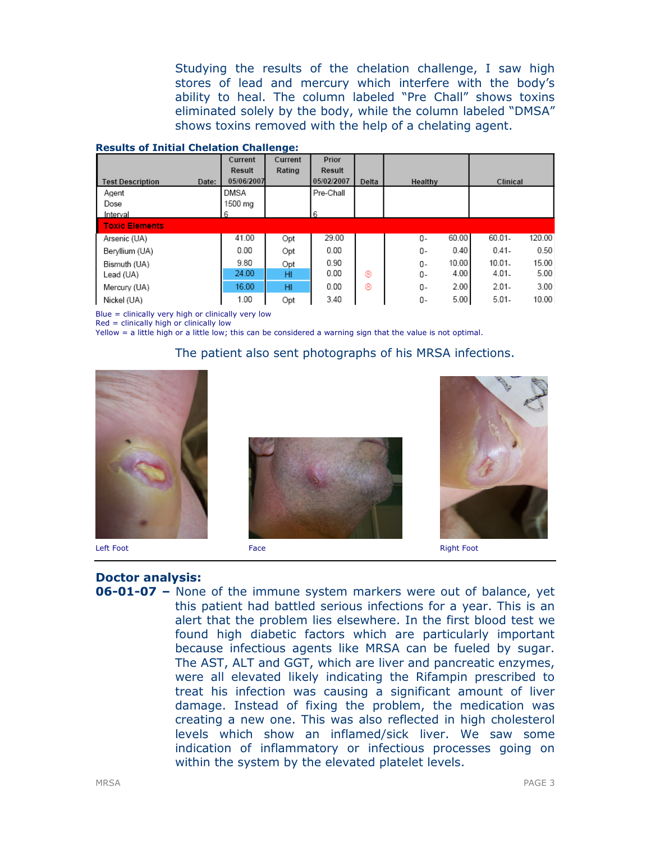Studying the results of the chelation challenge, I saw high stores of lead and mercury which interfere with the body's ability to heal. The column labeled "Pre Chall" shows toxins eliminated solely by the body, while the column labeled "DMSA" shows toxins removed with the help of a chelating agent.

|  |  | <b>Results of Initial Chelation Challenge:</b> |
|--|--|------------------------------------------------|
|  |  |                                                |

|                                  | Current     | Current | Prior      |       |             |                    |
|----------------------------------|-------------|---------|------------|-------|-------------|--------------------|
|                                  | Result      | Rating  | Result     |       |             |                    |
| <b>Test Description</b><br>Date: | 05/06/2007  |         | 05/02/2007 | Delta | Healthy     | Clinical           |
| Agent                            | <b>DMSA</b> |         | Pre-Chall  |       |             |                    |
| Dose                             | 1500 mg     |         |            |       |             |                    |
| Interval                         | 6           |         | 6          |       |             |                    |
| <b>Toxic Elements</b>            |             |         |            |       |             |                    |
| Arsenic (UA)                     | 41.00       | Opt     | 29.00      |       | 60.00<br>0- | 120.00<br>60.01-   |
| Beryllium (UA)                   | 0.00        | Opt     | 0.00       |       | 0.40<br>0-  | 0.50<br>$0.41 -$   |
| Bismuth (UA)                     | 9.80        | Opt     | 0.90       |       | 10.00<br>0- | 15.00<br>$10.01 -$ |
| Lead (UA)                        | 24.00       | HI      | 0.00       | ⊛     | 4.00<br>0-  | $4.01 -$<br>5.00   |
| Mercury (UA)                     | 16.00       | HI      | 0.00       | ⊛     | 2.00<br>0-  | 3.00<br>$2.01 -$   |
| Nickel (UA)                      | 1.00        | Opt     | 3.40       |       | 5.00<br>0-  | $5.01 -$<br>10.00  |

Blue = clinically very high or clinically very low

Red = clinically high or clinically low

Yellow = a little high or a little low; this can be considered a warning sign that the value is not optimal.

#### The patient also sent photographs of his MRSA infections.



### Doctor analysis:

**06-01-07 –** None of the immune system markers were out of balance, yet this patient had battled serious infections for a year. This is an alert that the problem lies elsewhere. In the first blood test we found high diabetic factors which are particularly important because infectious agents like MRSA can be fueled by sugar. The AST, ALT and GGT, which are liver and pancreatic enzymes, were all elevated likely indicating the Rifampin prescribed to treat his infection was causing a significant amount of liver damage. Instead of fixing the problem, the medication was creating a new one. This was also reflected in high cholesterol levels which show an inflamed/sick liver. We saw some indication of inflammatory or infectious processes going on within the system by the elevated platelet levels.



Left Foot Face Right Foot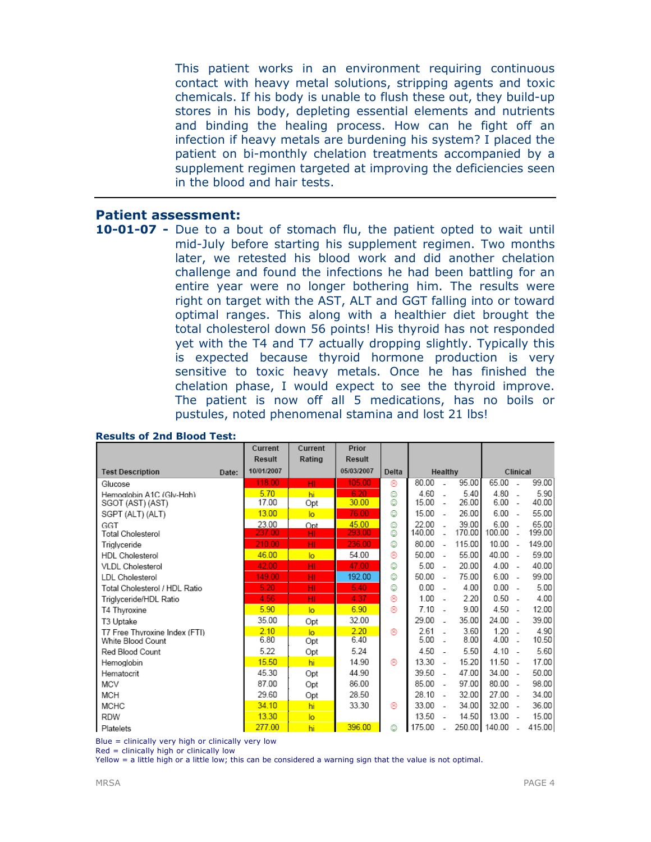This patient works in an environment requiring continuous contact with heavy metal solutions, stripping agents and toxic chemicals. If his body is unable to flush these out, they build-up stores in his body, depleting essential elements and nutrients and binding the healing process. How can he fight off an infection if heavy metals are burdening his system? I placed the patient on bi-monthly chelation treatments accompanied by a supplement regimen targeted at improving the deficiencies seen in the blood and hair tests.

#### Patient assessment:

10-01-07 - Due to a bout of stomach flu, the patient opted to wait until mid-July before starting his supplement regimen. Two months later, we retested his blood work and did another chelation challenge and found the infections he had been battling for an entire year were no longer bothering him. The results were right on target with the AST, ALT and GGT falling into or toward optimal ranges. This along with a healthier diet brought the total cholesterol down 56 points! His thyroid has not responded yet with the T4 and T7 actually dropping slightly. Typically this is expected because thyroid hormone production is very sensitive to toxic heavy metals. Once he has finished the chelation phase, I would expect to see the thyroid improve. The patient is now off all 5 medications, has no boils or pustules, noted phenomenal stamina and lost 21 lbs!

|                               |       | Current       | Current        | Prior         |       |        |                          |        |               |                          |        |
|-------------------------------|-------|---------------|----------------|---------------|-------|--------|--------------------------|--------|---------------|--------------------------|--------|
|                               |       | <b>Result</b> | Rating         | <b>Result</b> |       |        |                          |        |               |                          |        |
| <b>Test Description</b>       | Date: | 10/01/2007    |                | 05/03/2007    | Delta |        | Healthy                  |        | Clinical      |                          |        |
| Glucose                       |       | 118.00        | HI             | 105.00        | ⊛     | 80.00  |                          | 95.00  | 65.00         |                          | 99.00  |
| Hemoglobin A1C (Glv-Hah)      |       | 5.70          | hi             | 6.20          | ☺     | 4.60   |                          | 5.40   | 4.80          |                          | 5.90   |
| SGOT (AST) (AST)              |       | 17.00         | Opt            | 30.00         | ☺     | 15.00  | ÷.                       | 26.00  | 6.00          | $\overline{\phantom{a}}$ | 40.00  |
| SGPT (ALT) (ALT)              |       | 13.00         | $\overline{a}$ | 76.00         | ☺     | 15.00  | $\overline{\phantom{a}}$ | 26.00  | $6.00 -$      |                          | 55.00  |
| GGT                           |       | 23.00         | Opt            | 45.00         | ٥     | 22.00  |                          | 39.00  | 6.00          |                          | 65.00  |
| <b>Total Cholesterol</b>      |       | 237.00        | HI             | 293.00        | ٥     | 140.00 | ÷.                       | 170.00 | 100.00        | $\overline{\phantom{a}}$ | 199.00 |
| Triglyceride                  |       | 210.00        | HI             | 236.00        | ☺     | 80.00  | - 1                      | 115.00 | $10.00 -$     |                          | 149.00 |
| <b>HDL Cholesterol</b>        |       | 46.00         | $\overline{a}$ | 54.00         | ⊛     | 50.00  | $\sim$                   | 55.00  | 40.00 -       |                          | 59.00  |
| <b>VLDL Cholesterol</b>       |       | 42.00         | HI             | 47.00         | ٥     | 5.00   | $\overline{\phantom{a}}$ | 20.00  | 4.00          | $\sim$                   | 40.00  |
| <b>LDL Cholesterol</b>        |       | 149.00        | HI             | 192.00        | ☺     | 50.00  | $\sim$                   | 75.00  | 6.00          | $\overline{\phantom{a}}$ | 99.00  |
| Total Cholesterol / HDL Ratio |       | 5.20          | HI             | 5.40          | ☺     | 0.00   | $\sim$                   | 4.00   | 0.00          | $\overline{\phantom{a}}$ | 5.00   |
| Triglyceride/HDL Ratio        |       | 4.56          | HI             | 4.37          | ⊛     | 1.00   | - 1                      | 2.20   | $0.50 -$      |                          | 4.00   |
| T4 Thyroxine                  |       | 5.90          | lo             | 6.90          | ⊛     | 7.10   | ÷.                       | 9.00   | 4.50          | $\overline{\phantom{a}}$ | 12.00  |
| T3 Uptake                     |       | 35.00         | Opt            | 32.00         |       | 29.00  | ÷.                       | 35.00  | 24.00         | $\overline{\phantom{a}}$ | 39.00  |
| T7 Free Thyroxine Index (FTI) |       | 2.10          | lo             | 2.20          | ⊛     | 2.61   |                          | 3.60   | 1.20          | $\sim$                   | 4.90   |
| White Blood Count             |       | 6.80          | Opt            | 6.40          |       | 5.00   | - 1                      | 8.00   | $4.00 -$      |                          | 10.50  |
| Red Blood Count               |       | 5.22          | Opt            | 5.24          |       | 4.50   | $\overline{\phantom{a}}$ | 5.50   | $4.10 -$      |                          | 5.60   |
| Hemoglobin                    |       | 15.50         | hi             | 14.90         | ⊛     | 13.30  | $\sim$                   | 15.20  | 11.50         | $\overline{\phantom{a}}$ | 17.00  |
| Hematocrit                    |       | 45.30         | Opt            | 44.90         |       | 39.50  | $\sim$                   | 47.00  | 34.00         | $\sim$                   | 50.00  |
| MCV                           |       | 87.00         | Opt            | 86.00         |       | 85.00  | $\sim$                   | 97.00  | 80.00         | $\overline{\phantom{a}}$ | 98.00  |
| <b>MCH</b>                    |       | 29.60         | Opt            | 28.50         |       | 28.10  | $\sim$                   | 32.00  | 27.00         | $\overline{\phantom{a}}$ | 34.00  |
| <b>MCHC</b>                   |       | 34.10         | hi             | 33.30         | ⊛     | 33.00  | $\sim$                   | 34.00  | $32.00 -$     |                          | 36.00  |
| <b>RDW</b>                    |       | 13.30         | $\overline{a}$ |               |       | 13.50  | $\overline{\phantom{a}}$ | 14.50  | 13.00         | ٠.                       | 15.00  |
| Platelets                     |       | 277.00        | hi             | 396.00        | ٨     | 175.00 |                          |        | 250.00 140.00 |                          | 415.00 |

#### Results of 2nd Blood Test:

Blue = clinically very high or clinically very low

Red = clinically high or clinically low

Yellow = a little high or a little low; this can be considered a warning sign that the value is not optimal.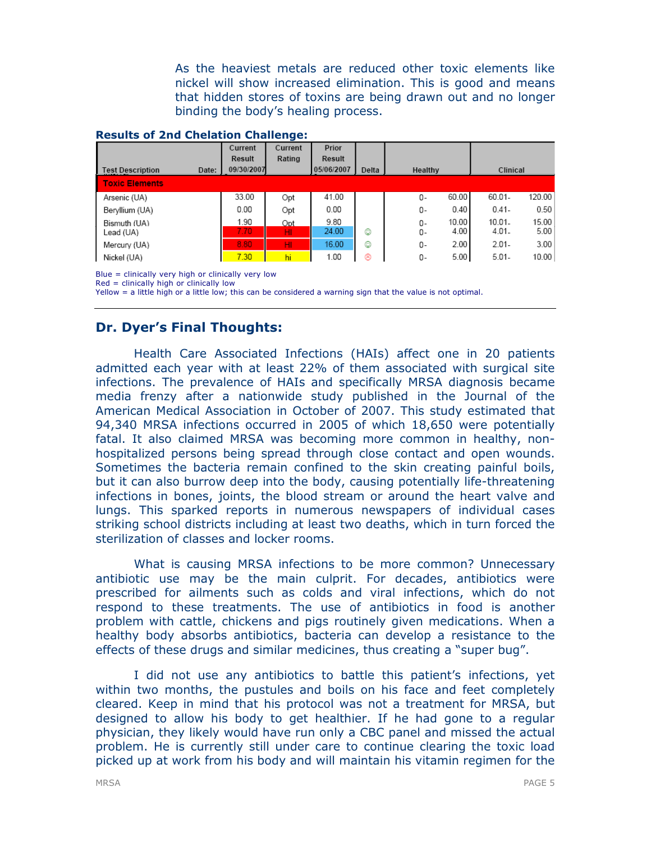As the heaviest metals are reduced other toxic elements like nickel will show increased elimination. This is good and means that hidden stores of toxins are being drawn out and no longer binding the body's healing process.

#### Results of 2nd Chelation Challenge:

|                                  | Current      | Current   | Prior         |       |                           |                       |               |
|----------------------------------|--------------|-----------|---------------|-------|---------------------------|-----------------------|---------------|
|                                  | Result       | Rating    | <b>Result</b> |       |                           |                       |               |
| Date:<br><b>Test Description</b> | 09/30/2007   |           | 05/06/2007    | Delta | Healthy                   | Clinical              |               |
| <b>Toxic Elements</b>            |              |           |               |       |                           |                       |               |
| Arsenic (UA)                     | 33.00        | Opt       | 41.00         |       | 60.00<br>0-               | 60.01-                | 120.00        |
| Beryllium (UA)                   | 0.00         | Opt       | 0.00          |       | 0.40<br>0-                | $0.41 -$              | 0.50          |
| Bismuth (UA)<br>Lead (UA)        | 1.90<br>7.70 | Opt<br>HI | 9.80<br>24.00 | ☺     | 10.00<br>0-<br>4.00<br>0- | $10.01 -$<br>$4.01 -$ | 15.00<br>5.00 |
| Mercury (UA)                     | 8.80         | HI.       | 16.00         | ٨     | 2.00<br>0-                | $2.01 -$              | 3.00          |
| Nickel (UA)                      | 7.30         | hi        | 1.00          | ⊛     | 5.00<br>0-                | $5.01 -$              | 10.00         |

Blue = clinically very high or clinically very low

Red = clinically high or clinically low

Yellow = a little high or a little low; this can be considered a warning sign that the value is not optimal.

## Dr. Dyer's Final Thoughts:

Health Care Associated Infections (HAIs) affect one in 20 patients admitted each year with at least 22% of them associated with surgical site infections. The prevalence of HAIs and specifically MRSA diagnosis became media frenzy after a nationwide study published in the Journal of the American Medical Association in October of 2007. This study estimated that 94,340 MRSA infections occurred in 2005 of which 18,650 were potentially fatal. It also claimed MRSA was becoming more common in healthy, nonhospitalized persons being spread through close contact and open wounds. Sometimes the bacteria remain confined to the skin creating painful boils, but it can also burrow deep into the body, causing potentially life-threatening infections in bones, joints, the blood stream or around the heart valve and lungs. This sparked reports in numerous newspapers of individual cases striking school districts including at least two deaths, which in turn forced the sterilization of classes and locker rooms.

What is causing MRSA infections to be more common? Unnecessary antibiotic use may be the main culprit. For decades, antibiotics were prescribed for ailments such as colds and viral infections, which do not respond to these treatments. The use of antibiotics in food is another problem with cattle, chickens and pigs routinely given medications. When a healthy body absorbs antibiotics, bacteria can develop a resistance to the effects of these drugs and similar medicines, thus creating a "super bug".

I did not use any antibiotics to battle this patient's infections, yet within two months, the pustules and boils on his face and feet completely cleared. Keep in mind that his protocol was not a treatment for MRSA, but designed to allow his body to get healthier. If he had gone to a regular physician, they likely would have run only a CBC panel and missed the actual problem. He is currently still under care to continue clearing the toxic load picked up at work from his body and will maintain his vitamin regimen for the